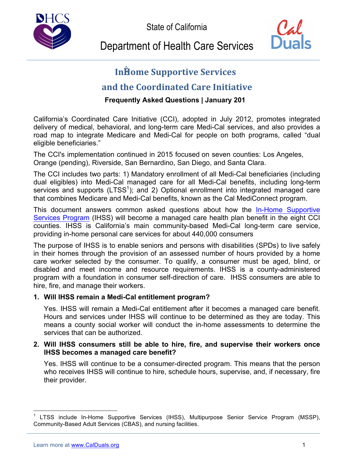





# Department of Health Care Services

# **InEome Supportive Services**

# **and(the(Coordinated(Care(Initiative(**

### **Frequently Asked Questions | January 201**

California's Coordinated Care Initiative (CCI), adopted in July 2012, promotes integrated delivery of medical, behavioral, and long-term care Medi-Cal services, and also provides a road map to integrate Medicare and Medi-Cal for people on both programs, called "dual eligible beneficiaries."

The CCI's implementation continued in 2015 focused on seven counties: Los Angeles, Orange (pending), Riverside, San Bernardino, San Diego, and Santa Clara.

The CCI includes two parts: 1) Mandatory enrollment of all Medi-Cal beneficiaries (including dual eligibles) into Medi-Cal managed care for all Medi-Cal benefits, including long-term services and supports (LTSS<sup>1</sup>); and 2) Optional enrollment into integrated managed care that combines Medicare and Medi-Cal benefits, known as the Cal MediConnect program.

This document answers common asked questions about how the In-Home Supportive Services Program (IHSS) will become a managed care health plan benefit in the eight CCI counties. IHSS is California's main community-based Medi-Cal long-term care service, providing in-home personal care services for about 440,000 consumers

The purpose of IHSS is to enable seniors and persons with disabilities (SPDs) to live safely in their homes through the provision of an assessed number of hours provided by a home care worker selected by the consumer. To qualify, a consumer must be aged, blind, or disabled and meet income and resource requirements. IHSS is a county-administered program with a foundation in consumer self-direction of care. IHSS consumers are able to hire, fire, and manage their workers.

### **1. Will IHSS remain a Medi-Cal entitlement program?**

Yes. IHSS will remain a Medi-Cal entitlement after it becomes a managed care benefit. Hours and services under IHSS will continue to be determined as they are today. This means a county social worker will conduct the in-home assessments to determine the services that can be authorized.

#### **2. Will IHSS consumers still be able to hire, fire, and supervise their workers once IHSS becomes a managed care benefit?**

Yes. IHSS will continue to be a consumer-directed program. This means that the person who receives IHSS will continue to hire, schedule hours, supervise, and, if necessary, fire their provider.

LTSS include In-Home Supportive Services (IHSS), Multipurpose Senior Service Program (MSSP), Community-Based Adult Services (CBAS), and nursing facilities.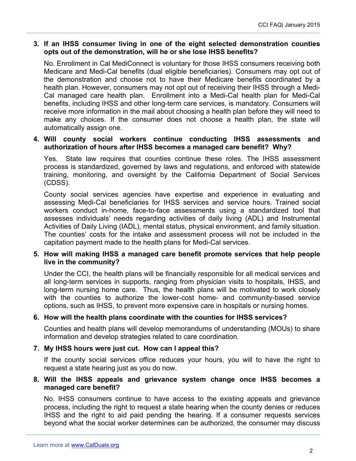#### **3. If an IHSS consumer living in one of the eight selected demonstration counties opts out of the demonstration, will he or she lose IHSS benefits?**

No. Enrollment in Cal MediConnect is voluntary for those IHSS consumers receiving both Medicare and Medi-Cal benefits (dual eligible beneficiaries). Consumers may opt out of the demonstration and choose not to have their Medicare benefits coordinated by a health plan. However, consumers may not opt out of receiving their IHSS through a Medi-Cal managed care health plan. Enrollment into a Medi-Cal health plan for Medi-Cal benefits, including IHSS and other long-term care services, is mandatory. Consumers will receive more information in the mail about choosing a health plan before they will need to make any choices. If the consumer does not choose a health plan, the state will automatically assign one.

#### **4. Will county social workers continue conducting IHSS assessments and authorization of hours after IHSS becomes a managed care benefit? Why?**

Yes. State law requires that counties continue these roles. The IHSS assessment process is standardized, governed by laws and regulations, and enforced with statewide training, monitoring, and oversight by the California Department of Social Services (CDSS).

County social services agencies have expertise and experience in evaluating and assessing Medi-Cal beneficiaries for IHSS services and service hours. Trained social workers conduct in-home, face-to-face assessments using a standardized tool that assesses individuals' needs regarding activities of daily living (ADL) and Instrumental Activities of Daily Living (IADL), mental status, physical environment, and family situation. The counties' costs for the intake and assessment process will not be included in the capitation payment made to the health plans for Medi-Cal services.

#### **5. How will making IHSS a managed care benefit promote services that help people live in the community?**

Under the CCI, the health plans will be financially responsible for all medical services and all long-term services in supports, ranging from physician visits to hospitals, IHSS, and long-term nursing home care. Thus, the health plans will be motivated to work closely with the counties to authorize the lower-cost home- and community-based service options, such as IHSS, to prevent more expensive care in hospitals or nursing homes.

#### **6. How will the health plans coordinate with the counties for IHSS services?**

Counties and health plans will develop memorandums of understanding (MOUs) to share information and develop strategies related to care coordination.

#### **7. My IHSS hours were just cut. How can I appeal this?**

If the county social services office reduces your hours, you will to have the right to request a state hearing just as you do now.

#### **8. Will the IHSS appeals and grievance system change once IHSS becomes a managed care benefit?**

No. IHSS consumers continue to have access to the existing appeals and grievance process, including the right to request a state hearing when the county denies or reduces IHSS and the right to aid paid pending the hearing. If a consumer requests services beyond what the social worker determines can be authorized, the consumer may discuss